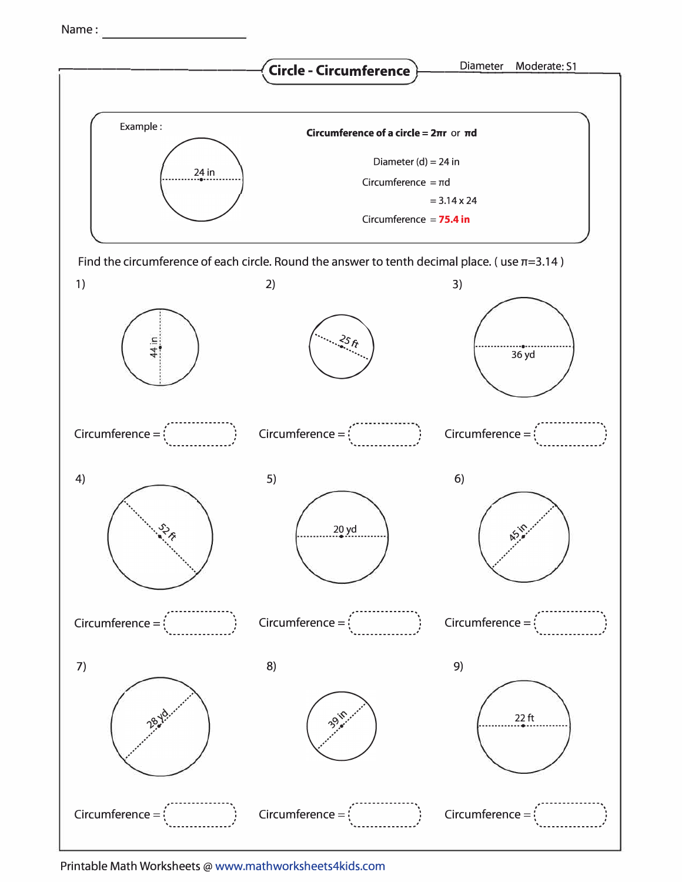Name:



Printable Math Worksheets@ www.mathworksheets4kids.com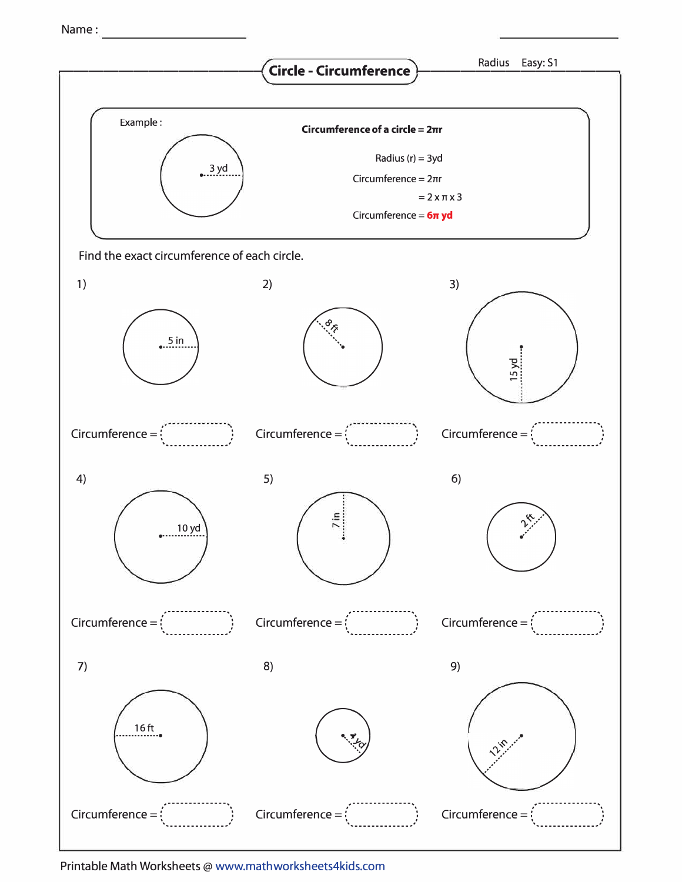Name:



Printable Math Worksheets@ www.mathworksheets4kids.com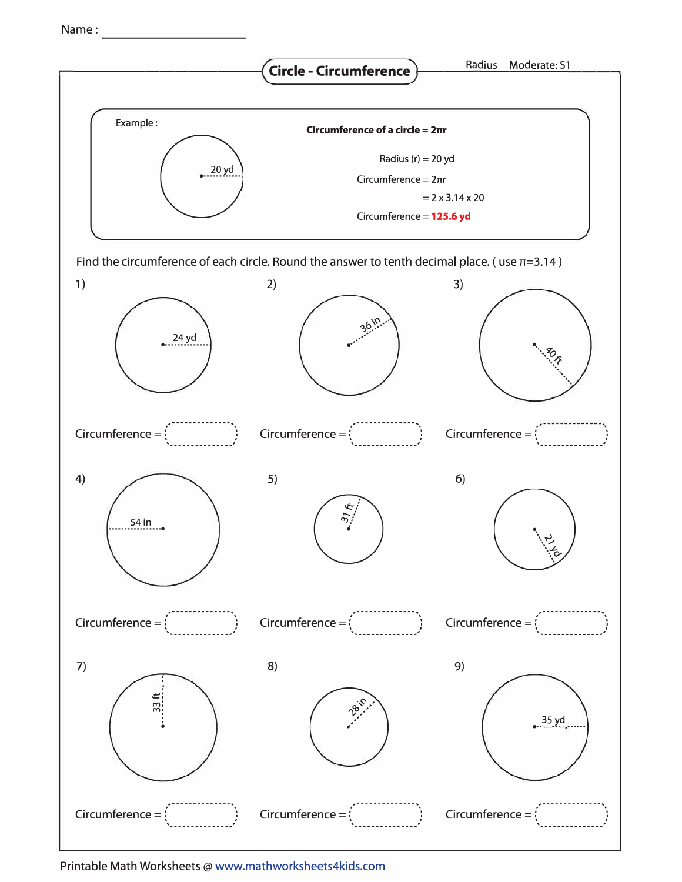Name:



Printable Math Worksheets@ www.mathworksheets4kids.com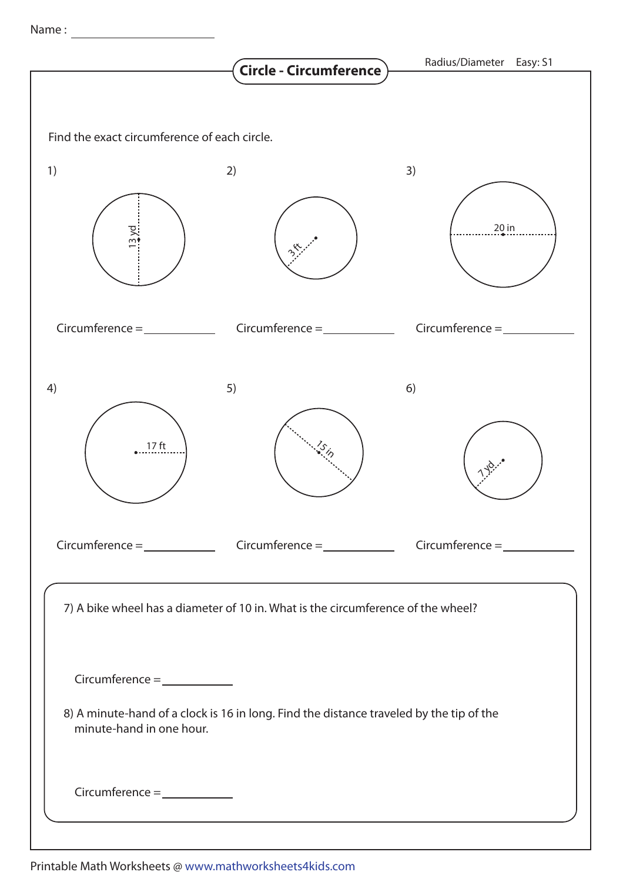Name :

|                                                                                                                     | Circle - Circumference | Radius/Diameter Easy: S1 |  |  |  |  |
|---------------------------------------------------------------------------------------------------------------------|------------------------|--------------------------|--|--|--|--|
|                                                                                                                     |                        |                          |  |  |  |  |
| Find the exact circumference of each circle.                                                                        |                        |                          |  |  |  |  |
| 1)                                                                                                                  | 2)                     | 3)                       |  |  |  |  |
|                                                                                                                     |                        | $20$ in                  |  |  |  |  |
| $Circumference = \_ \_ \_ \_ \_ \_ \_ \_ \_ \_ \_ \_ \_ \_ \_ \_ \_$                                                | $Circumference = \_$   | Circumference $=$        |  |  |  |  |
| 4)                                                                                                                  | 5)                     | 6)                       |  |  |  |  |
| 17 <sub>ft</sub>                                                                                                    | $\mathcal{E}_{i_{p}}$  |                          |  |  |  |  |
|                                                                                                                     |                        |                          |  |  |  |  |
| 7) A bike wheel has a diameter of 10 in. What is the circumference of the wheel?                                    |                        |                          |  |  |  |  |
| $Circumference = \_ \_ \_ \_ \_ \_ \_ \_ \_ \_ \_ \_ \_ \_ \_ \_ \_ \_$                                             |                        |                          |  |  |  |  |
| 8) A minute-hand of a clock is 16 in long. Find the distance traveled by the tip of the<br>minute-hand in one hour. |                        |                          |  |  |  |  |
| $Circumference = \_ \_ \_ \_ \_ \_ \_ \_ \_ \_ \_ \_ \_ \_ \_ \_ \_ \_$                                             |                        |                          |  |  |  |  |
|                                                                                                                     |                        |                          |  |  |  |  |